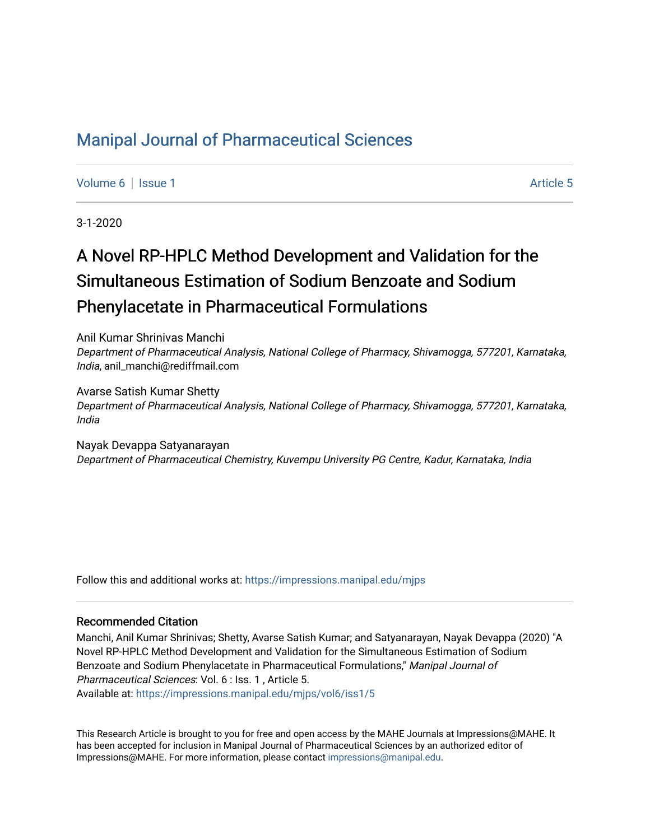## [Manipal Journal of Pharmaceutical Sciences](https://impressions.manipal.edu/mjps)

[Volume 6](https://impressions.manipal.edu/mjps/vol6) | [Issue 1](https://impressions.manipal.edu/mjps/vol6/iss1) Article 5

3-1-2020

# A Novel RP-HPLC Method Development and Validation for the Simultaneous Estimation of Sodium Benzoate and Sodium Phenylacetate in Pharmaceutical Formulations

Anil Kumar Shrinivas Manchi Department of Pharmaceutical Analysis, National College of Pharmacy, Shivamogga, 577201, Karnataka, India, anil\_manchi@rediffmail.com

Avarse Satish Kumar Shetty Department of Pharmaceutical Analysis, National College of Pharmacy, Shivamogga, 577201, Karnataka, India

Nayak Devappa Satyanarayan Department of Pharmaceutical Chemistry, Kuvempu University PG Centre, Kadur, Karnataka, India

Follow this and additional works at: [https://impressions.manipal.edu/mjps](https://impressions.manipal.edu/mjps?utm_source=impressions.manipal.edu%2Fmjps%2Fvol6%2Fiss1%2F5&utm_medium=PDF&utm_campaign=PDFCoverPages)

#### Recommended Citation

Manchi, Anil Kumar Shrinivas; Shetty, Avarse Satish Kumar; and Satyanarayan, Nayak Devappa (2020) "A Novel RP-HPLC Method Development and Validation for the Simultaneous Estimation of Sodium Benzoate and Sodium Phenylacetate in Pharmaceutical Formulations," Manipal Journal of Pharmaceutical Sciences: Vol. 6 : Iss. 1 , Article 5. Available at: [https://impressions.manipal.edu/mjps/vol6/iss1/5](https://impressions.manipal.edu/mjps/vol6/iss1/5?utm_source=impressions.manipal.edu%2Fmjps%2Fvol6%2Fiss1%2F5&utm_medium=PDF&utm_campaign=PDFCoverPages)

This Research Article is brought to you for free and open access by the MAHE Journals at Impressions@MAHE. It has been accepted for inclusion in Manipal Journal of Pharmaceutical Sciences by an authorized editor of Impressions@MAHE. For more information, please contact [impressions@manipal.edu](mailto:impressions@manipal.edu).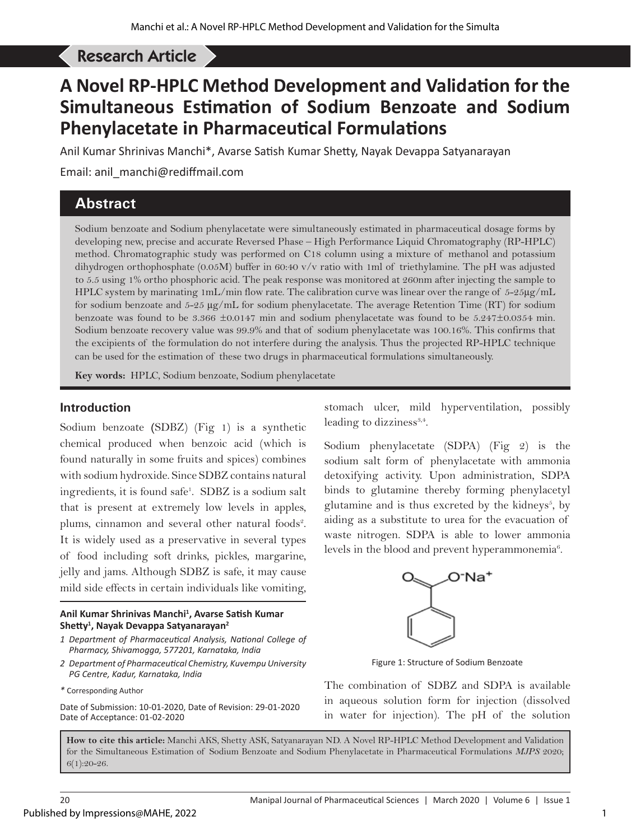## Manchi AKS *et al*: A Novel RP-HPLC Method Development and Validation . . . Research Article

# **A Novel RP-HPLC Method Development and Validation for the Simultaneous Estimation of Sodium Benzoate and Sodium Phenylacetate in Pharmaceutical Formulations**

Anil Kumar Shrinivas Manchi\*, Avarse Satish Kumar Shetty, Nayak Devappa Satyanarayan

Email: anil\_manchi@rediffmail.com

## **Abstract**

Sodium benzoate and Sodium phenylacetate were simultaneously estimated in pharmaceutical dosage forms by developing new, precise and accurate Reversed Phase – High Performance Liquid Chromatography (RP-HPLC) method. Chromatographic study was performed on C18 column using a mixture of methanol and potassium dihydrogen orthophosphate (0.05M) buffer in 60:40 v/v ratio with 1ml of triethylamine. The pH was adjusted to 5.5 using 1% ortho phosphoric acid. The peak response was monitored at 260nm after injecting the sample to HPLC system by marinating 1mL/min flow rate. The calibration curve was linear over the range of 5-25µg/mL for sodium benzoate and 5-25 µg/mL for sodium phenylacetate. The average Retention Time (RT) for sodium benzoate was found to be 3.366 ±0.0147 min and sodium phenylacetate was found to be 5.247±0.0354 min. Sodium benzoate recovery value was 99.9% and that of sodium phenylacetate was 100.16%. This confirms that the excipients of the formulation do not interfere during the analysis. Thus the projected RP-HPLC technique can be used for the estimation of these two drugs in pharmaceutical formulations simultaneously.

**Key words:** HPLC, Sodium benzoate, Sodium phenylacetate

## **Introduction**

Sodium benzoate **(**SDBZ) (Fig 1) is a synthetic chemical produced when benzoic acid (which is found naturally in some fruits and spices) combines with sodium hydroxide. Since SDBZ contains natural ingredients, it is found safe1 . SDBZ is a sodium salt that is present at extremely low levels in apples, plums, cinnamon and several other natural foods<sup>2</sup>. It is widely used as a preservative in several types of food including soft drinks, pickles, margarine, jelly and jams. Although SDBZ is safe, it may cause mild side effects in certain individuals like vomiting,

#### **Anil Kumar Shrinivas Manchi1 , Avarse Satish Kumar Shetty<sup>1</sup> , Nayak Devappa Satyanarayan<sup>2</sup>**

- *1 Department of Pharmaceutical Analysis, National College of Pharmacy, Shivamogga, 577201, Karnataka, India*
- *2 Department of Pharmaceutical Chemistry, Kuvempu University PG Centre, Kadur, Karnataka, India*
- *\** Corresponding Author

Date of Submission: 10-01-2020, Date of Revision: 29-01-2020 Date of Acceptance: 01-02-2020

stomach ulcer, mild hyperventilation, possibly leading to dizziness $3,4$ .

Sodium phenylacetate (SDPA) (Fig 2) is the sodium salt form of phenylacetate with ammonia detoxifying activity. Upon administration, SDPA binds to glutamine thereby forming phenylacetyl glutamine and is thus excreted by the kidneys $<sup>5</sup>$ , by</sup> aiding as a substitute to urea for the evacuation of waste nitrogen. SDPA is able to lower ammonia levels in the blood and prevent hyperammonemia<sup>6</sup>.



Figure 1: Structure of Sodium Benzoate

The combination of SDBZ and SDPA is available in aqueous solution form for injection (dissolved in water for injection). The pH of the solution

**How to cite this article:** Manchi AKS, Shetty ASK, Satyanarayan ND. A Novel RP-HPLC Method Development and Validation for the Simultaneous Estimation of Sodium Benzoate and Sodium Phenylacetate in Pharmaceutical Formulations *MJPS* 2020; 6(1):20-26.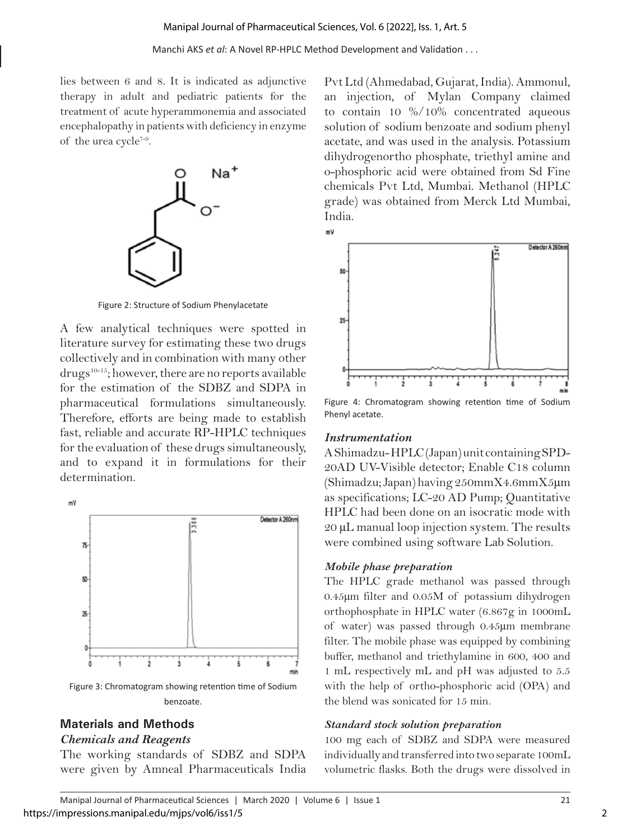lies between 6 and 8. It is indicated as adjunctive therapy in adult and pediatric patients for the treatment of acute hyperammonemia and associated encephalopathy in patients with deficiency in enzyme of the urea cycle<sup>7-9</sup>.



Figure 2: Structure of Sodium Phenylacetate

A few analytical techniques were spotted in literature survey for estimating these two drugs collectively and in combination with many other drugs10-15; however, there are no reports available for the estimation of the SDBZ and SDPA in pharmaceutical formulations simultaneously. Therefore, efforts are being made to establish fast, reliable and accurate RP-HPLC techniques for the evaluation of these drugs simultaneously, and to expand it in formulations for their determination.



## **Materials and Methods**

## *Chemicals and Reagents*

The working standards of SDBZ and SDPA were given by Amneal Pharmaceuticals India

Pvt Ltd (Ahmedabad, Gujarat, India). Ammonul, an injection, of Mylan Company claimed to contain 10 %/10% concentrated aqueous solution of sodium benzoate and sodium phenyl acetate, and was used in the analysis. Potassium dihydrogenortho phosphate, triethyl amine and o-phosphoric acid were obtained from Sd Fine chemicals Pvt Ltd, Mumbai. Methanol (HPLC grade) was obtained from Merck Ltd Mumbai, India.





Figure 4: Chromatogram showing retention time of Sodium Phenyl acetate.

## *Instrumentation*

A Shimadzu- HPLC (Japan) unit containing SPD-20AD UV-Visible detector; Enable C18 column (Shimadzu; Japan) having 250mmX4.6mmX5µm as specifications; LC-20 AD Pump; Quantitative HPLC had been done on an isocratic mode with 20 µL manual loop injection system. The results were combined using software Lab Solution.

## *Mobile phase preparation*

The HPLC grade methanol was passed through 0.45µm filter and 0.05M of potassium dihydrogen orthophosphate in HPLC water (6.867g in 1000mL of water) was passed through 0.45µm membrane filter. The mobile phase was equipped by combining buffer, methanol and triethylamine in 600, 400 and 1 mL respectively mL and pH was adjusted to 5.5 with the help of ortho-phosphoric acid (OPA) and the blend was sonicated for 15 min.

#### *Standard stock solution preparation*

100 mg each of SDBZ and SDPA were measured individually and transferred into two separate 100mL volumetric flasks. Both the drugs were dissolved in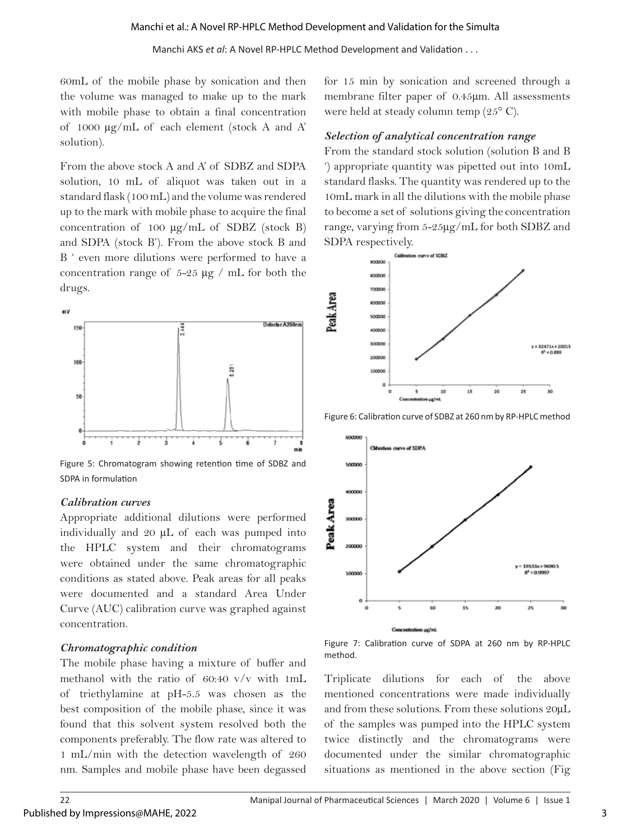#### Manchi AKS *et al*: A Novel RP-HPLC Method Development and Validation . . .

60mL of the mobile phase by sonication and then the volume was managed to make up to the mark with mobile phase to obtain a final concentration of 1000 µg/mL of each element (stock A and A' solution).

From the above stock A and A' of SDBZ and SDPA solution, 10 mL of aliquot was taken out in a standard flask (100 mL) and the volume was rendered up to the mark with mobile phase to acquire the final concentration of 100  $\mu$ g/mL of SDBZ (stock B) and SDPA (stock B'). From the above stock B and B ' even more dilutions were performed to have a concentration range of 5-25 µg / mL for both the drugs.



Figure 5: Chromatogram showing retention time of SDBZ and SDPA in formulation

#### *Calibration curves*

Appropriate additional dilutions were performed individually and 20 µL of each was pumped into the HPLC system and their chromatograms were obtained under the same chromatographic conditions as stated above. Peak areas for all peaks were documented and a standard Area Under Curve (AUC) calibration curve was graphed against concentration.

## *Chromatographic condition*

The mobile phase having a mixture of buffer and methanol with the ratio of 60:40 v/v with 1mL of triethylamine at pH-5.5 was chosen as the best composition of the mobile phase, since it was found that this solvent system resolved both the components preferably. The flow rate was altered to 1 mL/min with the detection wavelength of 260 nm. Samples and mobile phase have been degassed

for 15 min by sonication and screened through a membrane filter paper of 0.45µm. All assessments were held at steady column temp (25° C).

#### *Selection of analytical concentration range*

From the standard stock solution (solution B and B ') appropriate quantity was pipetted out into 10mL standard flasks. The quantity was rendered up to the 10mL mark in all the dilutions with the mobile phase to become a set of solutions giving the concentration range, varying from 5-25µg/mL for both SDBZ and SDPA respectively.



Figure 6: Calibration curve of SDBZ at 260 nm by RP-HPLC method



Figure 7: Calibration curve of SDPA at 260 nm by RP-HPLC method.

Triplicate dilutions for each of the above mentioned concentrations were made individually and from these solutions. From these solutions 20µL of the samples was pumped into the HPLC system twice distinctly and the chromatograms were documented under the similar chromatographic situations as mentioned in the above section (Fig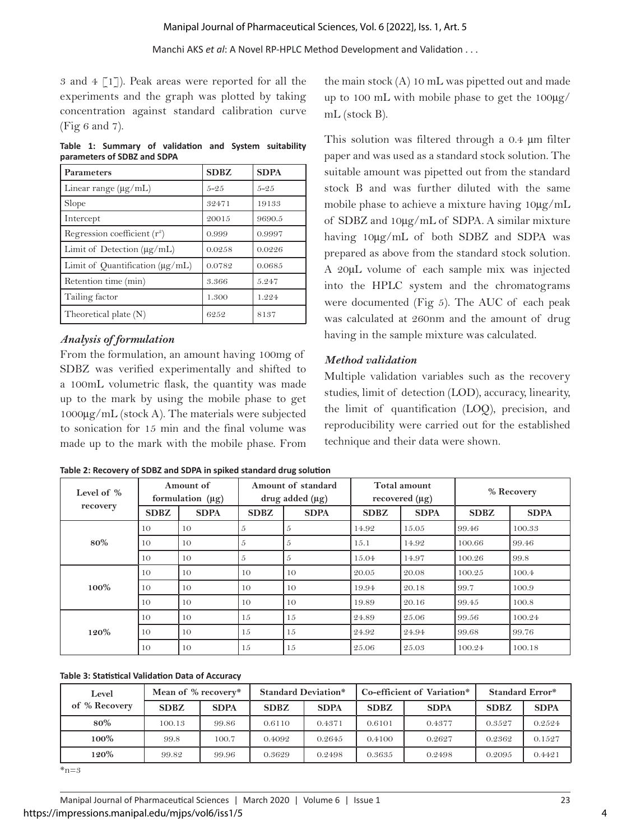Manchi AKS *et al*: A Novel RP-HPLC Method Development and Validation . . .

3 and  $4 \lceil 1 \rceil$ ). Peak areas were reported for all the experiments and the graph was plotted by taking concentration against standard calibration curve (Fig 6 and 7).

**Table 1: Summary of validation and System suitability parameters of SDBZ and SDPA**

| <b>Parameters</b>                     | <b>SDBZ</b> | <b>SDPA</b> |
|---------------------------------------|-------------|-------------|
| Linear range (µg/mL)                  | $5 - 25$    | $5 - 25$    |
| Slope                                 | 32471       | 19133       |
| Intercept                             | 20015       | 9690.5      |
| Regression coefficient $(r^2)$        | 0.999       | 0.9997      |
| Limit of Detection $(\mu g/mL)$       | 0.0258      | 0.0226      |
| Limit of Quantification ( $\mu$ g/mL) | 0.0782      | 0.0685      |
| Retention time (min)                  | 3.366       | 5.247       |
| Tailing factor                        | 1.300       | 1.224       |
| Theoretical plate (N)                 | 6252        | 8137        |

## *Analysis of formulation*

From the formulation, an amount having 100mg of SDBZ was verified experimentally and shifted to a 100mL volumetric flask, the quantity was made up to the mark by using the mobile phase to get 1000µg/mL (stock A). The materials were subjected to sonication for 15 min and the final volume was made up to the mark with the mobile phase. From

the main stock  $(A)$  10 mL was pipetted out and made up to 100 mL with mobile phase to get the 100µg/ mL (stock B).

This solution was filtered through a 0.4  $\mu$ m filter paper and was used as a standard stock solution. The suitable amount was pipetted out from the standard stock B and was further diluted with the same mobile phase to achieve a mixture having 10µg/mL of SDBZ and 10µg/mL of SDPA. A similar mixture having 10µg/mL of both SDBZ and SDPA was prepared as above from the standard stock solution. A 20µL volume of each sample mix was injected into the HPLC system and the chromatograms were documented (Fig 5). The AUC of each peak was calculated at 260nm and the amount of drug having in the sample mixture was calculated.

## *Method validation*

Multiple validation variables such as the recovery studies, limit of detection (LOD), accuracy, linearity, the limit of quantification (LOQ), precision, and reproducibility were carried out for the established technique and their data were shown.

| Level of %<br>recovery | Amount of<br>formulation $(\mu g)$ |             | Amount of standard<br>$drug$ added $(\mu g)$ |             | Total amount<br>recovered $(\mu g)$ |             | % Recovery  |             |
|------------------------|------------------------------------|-------------|----------------------------------------------|-------------|-------------------------------------|-------------|-------------|-------------|
|                        | <b>SDBZ</b>                        | <b>SDPA</b> | <b>SDBZ</b>                                  | <b>SDPA</b> | <b>SDBZ</b>                         | <b>SDPA</b> | <b>SDBZ</b> | <b>SDPA</b> |
|                        | 10                                 | 10          | 5                                            | 5           | 14.92                               | 15.05       | 99.46       | 100.33      |
| 80%                    | 10                                 | 10          | 5                                            | 5           | 15.1                                | 14.92       | 100.66      | 99.46       |
|                        | 10                                 | 10          | 5                                            | 5           | 15.04                               | 14.97       | 100.26      | 99.8        |
|                        | 10                                 | 10          | 10                                           | 10          | 20.05                               | 20.08       | 100.25      | 100.4       |
| 100%                   | 10                                 | 10          | 10                                           | 10          | 19.94                               | 20.18       | 99.7        | 100.9       |
|                        | 10                                 | 10          | 10                                           | 10          | 19.89                               | 20.16       | 99.45       | 100.8       |
| 120%                   | 10                                 | 10          | 15                                           | 15          | 24.89                               | 25.06       | 99.56       | 100.24      |
|                        | 10                                 | 10          | 15                                           | 15          | 24.92                               | 24.94       | 99.68       | 99.76       |
|                        | 10                                 | 10          | 15                                           | 15          | 25.06                               | 25.03       | 100.24      | 100.18      |

#### **Table 2: Recovery of SDBZ and SDPA in spiked standard drug solution**

#### **Table 3: Statistical Validation Data of Accuracy**

| Level         | Mean of % recovery* |             | <b>Standard Deviation*</b> |             | Co-efficient of Variation* |             | <b>Standard Error*</b> |             |
|---------------|---------------------|-------------|----------------------------|-------------|----------------------------|-------------|------------------------|-------------|
| of % Recovery | <b>SDBZ</b>         | <b>SDPA</b> | <b>SDBZ</b>                | <b>SDPA</b> | <b>SDBZ</b>                | <b>SDPA</b> | <b>SDBZ</b>            | <b>SDPA</b> |
| 80%           | 100.13              | 99.86       | 0.6110                     | 0.4371      | 0.6101                     | 0.4377      | 0.3527                 | 0.2524      |
| 100%          | 99.8                | 100.7       | 0.4092                     | 0.2645      | 0.4100                     | 0.2627      | 0.2362                 | 0.1527      |
| 120%          | 99.82               | 99.96       | 0.3629                     | 0.2498      | 0.3635                     | 0.2498      | 0.2095                 | 0.4421      |

 $*_{n=3}$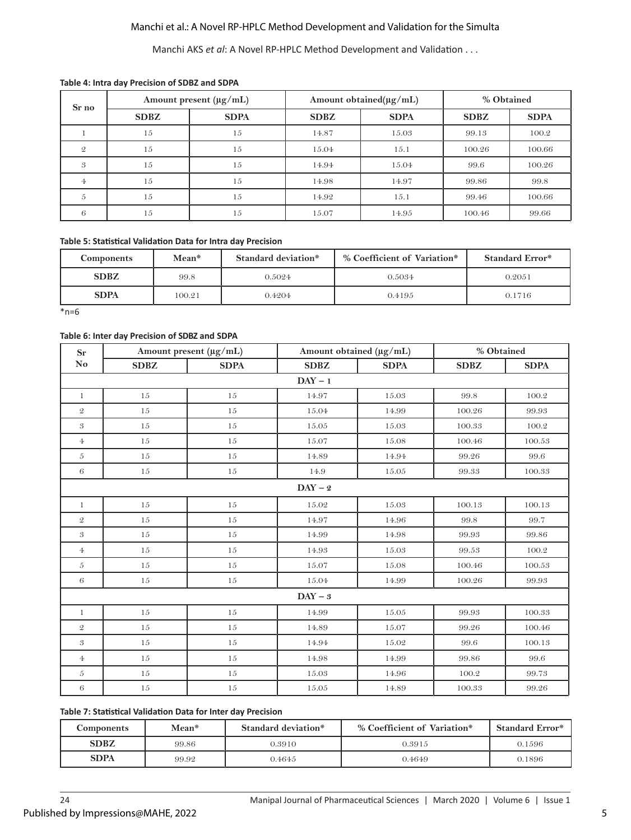## Manchi et al.: A Novel RP-HPLC Method Development and Validation for the Simulta

Manchi AKS *et al*: A Novel RP-HPLC Method Development and Validation . . .

#### **Table 4: Intra day Precision of SDBZ and SDPA**

| Sr no         | Amount present $(\mu g/mL)$ |             |             | Amount obtained(µg/mL) | % Obtained  |             |
|---------------|-----------------------------|-------------|-------------|------------------------|-------------|-------------|
|               | <b>SDBZ</b>                 | <b>SDPA</b> | <b>SDBZ</b> | <b>SDPA</b>            | <b>SDBZ</b> | <b>SDPA</b> |
|               | 15                          | 15          | 14.87       | 15.03                  | 99.13       | 100.2       |
| $\mathcal{Q}$ | 15                          | 15          | 15.04       | 15.1                   | 100.26      | 100.66      |
| 3             | 15                          | 15          | 14.94       | 15.04                  | 99.6        | 100.26      |
| 4             | 15                          | 15          | 14.98       | 14.97                  | 99.86       | 99.8        |
| 5             | 15                          | 15          | 14.92       | 15.1                   | 99.46       | 100.66      |
| 6             | 15                          | 15          | 15.07       | 14.95                  | 100.46      | 99.66       |

#### **Table 5: Statistical Validation Data for Intra day Precision**

| <b>Components</b> | Mean*  | Standard deviation* | % Coefficient of Variation* | <b>Standard Error*</b> |  |
|-------------------|--------|---------------------|-----------------------------|------------------------|--|
| <b>SDBZ</b>       | 99.8   |                     | 0.5034                      | 0.2051                 |  |
| <b>SDPA</b>       | 100.21 | 0.4204              | 0.4195                      | 0.1716                 |  |

 $*n=6$ 

#### **Table 6: Inter day Precision of SDBZ and SDPA**

| <b>Sr</b>                  | Amount present (µg/mL) |             | Amount obtained (µg/mL) |             |             | % Obtained   |  |  |
|----------------------------|------------------------|-------------|-------------------------|-------------|-------------|--------------|--|--|
| No                         | <b>SDBZ</b>            | <b>SDPA</b> | <b>SDBZ</b>             | <b>SDPA</b> | <b>SDBZ</b> | ${\bf SDPA}$ |  |  |
|                            |                        |             | $DAY - 1$               |             |             |              |  |  |
| $\mathbf{1}$               | 15                     | 15          | 14.97                   | 15.03       | 99.8        | 100.2        |  |  |
| $\mathcal Q$               | 15                     | 15          | 15.04                   | 14.99       | 100.26      | 99.93        |  |  |
| $\mathfrak{B}$             | $15\,$                 | $15\,$      | 15.05                   | 15.03       | 100.33      | 100.2        |  |  |
| $\overline{4}$             | 15                     | $15\,$      | 15.07                   | 15.08       | 100.46      | 100.53       |  |  |
| $\boldsymbol{5}$           | $15\,$                 | 15          | 14.89                   | 14.94       | 99.26       | 99.6         |  |  |
| $\sqrt{6}$                 | $15\,$                 | $15\,$      | 14.9                    | 15.05       | 99.33       | 100.33       |  |  |
|                            |                        |             | $DAY - 2$               |             |             |              |  |  |
| $\mathbf{1}$               | 15                     | 15          | 15.02                   | 15.03       | 100.13      | 100.13       |  |  |
| $\mathfrak{D}$             | 15                     | 15          | 14.97                   | 14.96       | 99.8        | 99.7         |  |  |
| $\boldsymbol{\mathcal{S}}$ | 15                     | 15          | 14.99                   | 14.98       | 99.93       | 99.86        |  |  |
| $\overline{4}$             | 15                     | 15          | 14.93                   | 15.03       | 99.53       | 100.2        |  |  |
| $\sqrt{5}$                 | $15\,$                 | 15          | 15.07                   | 15.08       | 100.46      | 100.53       |  |  |
| $\sqrt{6}$                 | $15\,$                 | 15          | 15.04                   | 14.99       | 100.26      | 99.93        |  |  |
|                            |                        |             | $DAY - 3$               |             |             |              |  |  |
| $\mathbf{1}$               | $15\,$                 | $15\,$      | 14.99                   | 15.05       | 99.93       | 100.33       |  |  |
| $\mathcal Q$               | 15                     | 15          | 14.89                   | 15.07       | 99.26       | 100.46       |  |  |
| $\mathfrak{B}$             | 15                     | 15          | 14.94                   | 15.02       | 99.6        | 100.13       |  |  |
| $\Phi$                     | 15                     | $15\,$      | 14.98                   | 14.99       | 99.86       | 99.6         |  |  |
| $\mathfrak{H}$             | 15                     | 15          | 15.03                   | 14.96       | $100.2\,$   | 99.73        |  |  |
| $\,6\,$                    | $15\,$                 | $15\,$      | 15.05                   | 14.89       | 100.33      | 99.26        |  |  |

#### **Table 7: Statistical Validation Data for Inter day Precision**

| Components  | Mean* | Standard deviation* | % Coefficient of Variation* | <b>Standard Error*</b> |
|-------------|-------|---------------------|-----------------------------|------------------------|
| <b>SDBZ</b> | 99.86 | 0.3910              | 0.3915                      | 0.1596                 |
| <b>SDPA</b> | 99.92 | 0.4645              | 0.4649                      | 0.1896                 |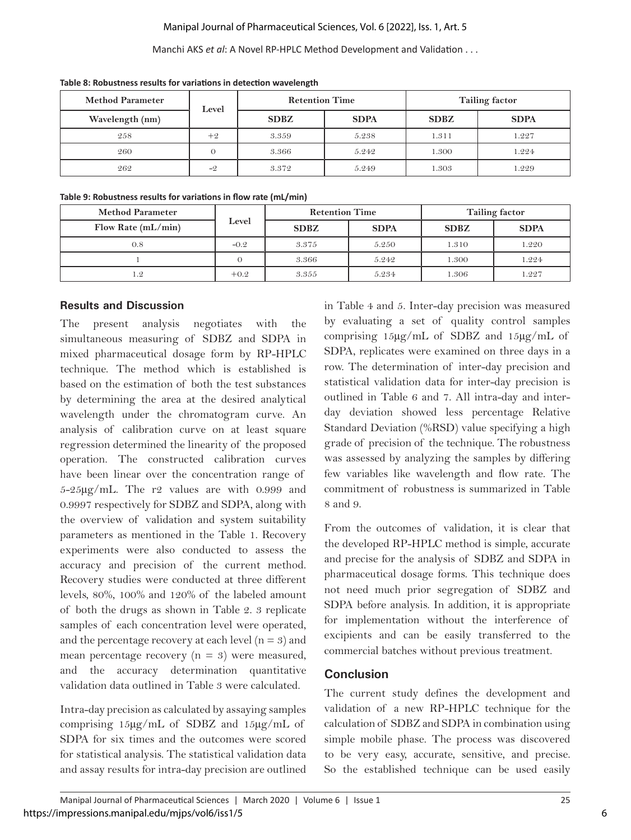## Manipal Journal of Pharmaceutical Sciences, Vol. 6 [2022], Iss. 1, Art. 5

#### Manchi AKS *et al*: A Novel RP-HPLC Method Development and Validation . . .

| <b>Method Parameter</b> | Level | <b>Retention Time</b> |             |             | <b>Tailing factor</b> |
|-------------------------|-------|-----------------------|-------------|-------------|-----------------------|
| Wavelength (nm)         |       | <b>SDBZ</b>           | <b>SDPA</b> | <b>SDBZ</b> | <b>SDPA</b>           |
| 258                     | $+9$  | 3.359                 | 5.238       | 1.311       | 1.227                 |
| 260                     |       | 3.366                 | 5.242       | 1.300       | 1.224                 |
| 262                     | $-9$  | 3.372                 | 5.249       | 1.303       | 1.229                 |

**Table 8: Robustness results for variations in detection wavelength**

#### **Table 9: Robustness results for variations in flow rate (mL/min)**

| <b>Method Parameter</b> | Level  | <b>Retention Time</b> |             |             | <b>Tailing factor</b> |
|-------------------------|--------|-----------------------|-------------|-------------|-----------------------|
| Flow Rate $(mL/min)$    |        | <b>SDBZ</b>           | <b>SDPA</b> | <b>SDBZ</b> | <b>SDPA</b>           |
| 0.8                     | $-0.2$ | 3.375                 | 5.250       | 1.310       | 1.220                 |
|                         |        | 3.366                 | 5.242       | 1.300       | 1.224                 |
| 1.2                     | $+0.2$ | 3.355                 | 5.234       | 1.306       | 1.227                 |

## **Results and Discussion**

The present analysis negotiates with the simultaneous measuring of SDBZ and SDPA in mixed pharmaceutical dosage form by RP-HPLC technique. The method which is established is based on the estimation of both the test substances by determining the area at the desired analytical wavelength under the chromatogram curve. An analysis of calibration curve on at least square regression determined the linearity of the proposed operation. The constructed calibration curves have been linear over the concentration range of 5-25µg/mL. The r2 values are with 0.999 and 0.9997 respectively for SDBZ and SDPA, along with the overview of validation and system suitability parameters as mentioned in the Table 1. Recovery experiments were also conducted to assess the accuracy and precision of the current method. Recovery studies were conducted at three different levels, 80%, 100% and 120% of the labeled amount of both the drugs as shown in Table 2. 3 replicate samples of each concentration level were operated, and the percentage recovery at each level  $(n = 3)$  and mean percentage recovery  $(n = 3)$  were measured, and the accuracy determination quantitative validation data outlined in Table 3 were calculated.

Intra-day precision as calculated by assaying samples comprising 15µg/mL of SDBZ and 15µg/mL of SDPA for six times and the outcomes were scored for statistical analysis. The statistical validation data and assay results for intra-day precision are outlined in Table 4 and 5. Inter-day precision was measured by evaluating a set of quality control samples comprising 15µg/mL of SDBZ and 15µg/mL of SDPA, replicates were examined on three days in a row. The determination of inter-day precision and statistical validation data for inter-day precision is outlined in Table 6 and 7. All intra-day and interday deviation showed less percentage Relative Standard Deviation (%RSD) value specifying a high grade of precision of the technique. The robustness was assessed by analyzing the samples by differing few variables like wavelength and flow rate. The commitment of robustness is summarized in Table 8 and 9.

From the outcomes of validation, it is clear that the developed RP-HPLC method is simple, accurate and precise for the analysis of SDBZ and SDPA in pharmaceutical dosage forms. This technique does not need much prior segregation of SDBZ and SDPA before analysis. In addition, it is appropriate for implementation without the interference of excipients and can be easily transferred to the commercial batches without previous treatment.

## **Conclusion**

The current study defines the development and validation of a new RP-HPLC technique for the calculation of SDBZ and SDPA in combination using simple mobile phase. The process was discovered to be very easy, accurate, sensitive, and precise. So the established technique can be used easily

6